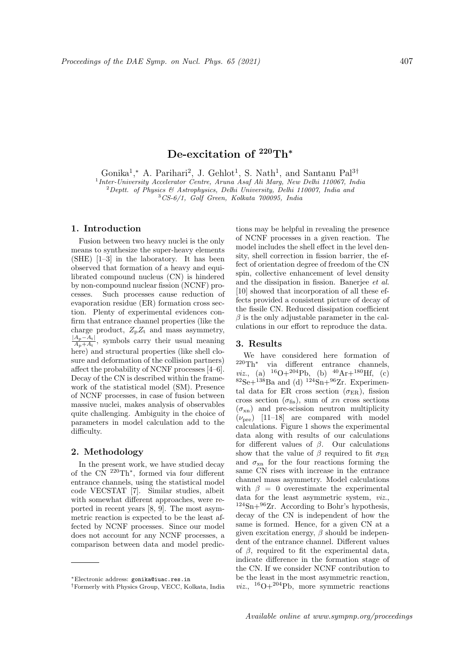# De-excitation of <sup>220</sup>Th<sup>\*</sup>

Gonika<sup>1</sup>,\* A. Parihari<sup>2</sup>, J. Gehlot<sup>1</sup>, S. Nath<sup>1</sup>, and Santanu Pal<sup>3†</sup>

<sup>1</sup> Inter-University Accelerator Centre, Aruna Asaf Ali Marg, New Delhi 110067, India

<sup>2</sup> Deptt. of Physics & Astrophysics, Delhi University, Delhi 110007, India and

<sup>3</sup>CS-6/1, Golf Green, Kolkata 700095, India

### 1. Introduction

Fusion between two heavy nuclei is the only means to synthesize the super-heavy elements (SHE) [1–3] in the laboratory. It has been observed that formation of a heavy and equilibrated compound nucleus (CN) is hindered by non-compound nuclear fission (NCNF) processes. Such processes cause reduction of evaporation residue (ER) formation cross section. Plenty of experimental evidences confirm that entrance channel properties (like the charge product,  $Z_{p}Z_{t}$  and mass asymmetry,  $|A_{\rm p}-A_{\rm t}|$  $\frac{A_p - A_t}{A_p + A_t}$ , symbols carry their usual meaning here) and structural properties (like shell closure and deformation of the collision partners) affect the probability of NCNF processes [4–6]. Decay of the CN is described within the framework of the statistical model (SM). Presence of NCNF processes, in case of fusion between massive nuclei, makes analysis of observables quite challenging. Ambiguity in the choice of parameters in model calculation add to the difficulty.

## 2. Methodology

In the present work, we have studied decay of the CN <sup>220</sup>Th<sup>∗</sup> , formed via four different entrance channels, using the statistical model code VECSTAT [7]. Similar studies, albeit with somewhat different approaches, were reported in recent years [8, 9]. The most asymmetric reaction is expected to be the least affected by NCNF processes. Since our model does not account for any NCNF processes, a comparison between data and model predictions may be helpful in revealing the presence of NCNF processes in a given reaction. The model includes the shell effect in the level density, shell correction in fission barrier, the effect of orientation degree of freedom of the CN spin, collective enhancement of level density and the dissipation in fission. Banerjee et al. [10] showed that incorporation of all these effects provided a consistent picture of decay of the fissile CN. Reduced dissipation coefficient  $\beta$  is the only adjustable parameter in the calculations in our effort to reproduce the data.

#### 3. Results

We have considered here formation of <sup>220</sup>Th<sup>∗</sup> via different entrance channels, *viz.*, (a)  $^{16}O+^{204}Pb$ , (b)  $^{40}Ar+^{180}Hf$ , (c)  ${}^{82}\text{Se}+{}^{138}\text{Ba}$  and (d)  ${}^{124}\text{Sn}+{}^{96}\text{Zr}$ . Experimental data for ER cross section  $(\sigma_{\text{ER}})$ , fission cross section  $(\sigma_{\text{fis}})$ , sum of xn cross sections  $(\sigma_{\rm xn})$  and pre-scission neutron multiplicity  $(\nu_{\text{pre}})$  [11–18] are compared with model calculations. Figure 1 shows the experimental data along with results of our calculations for different values of  $\beta$ . Our calculations show that the value of  $\beta$  required to fit  $\sigma_{\text{ER}}$ and  $\sigma_{\rm xn}$  for the four reactions forming the same CN rises with increase in the entrance channel mass asymmetry. Model calculations with  $\beta = 0$  overestimate the experimental data for the least asymmetric system, viz.,  $124$ Sn+ $96$ Zr. According to Bohr's hypothesis, decay of the CN is independent of how the same is formed. Hence, for a given CN at a given excitation energy,  $\beta$  should be independent of the entrance channel. Different values of  $\beta$ , required to fit the experimental data, indicate difference in the formation stage of the CN. If we consider NCNF contribution to be the least in the most asymmetric reaction, *viz.*, <sup>16</sup>O+<sup>204</sup>Pb, more symmetric reactions

<sup>∗</sup>Electronic address: gonika@iuac.res.in

<sup>†</sup>Formerly with Physics Group, VECC, Kolkata, India